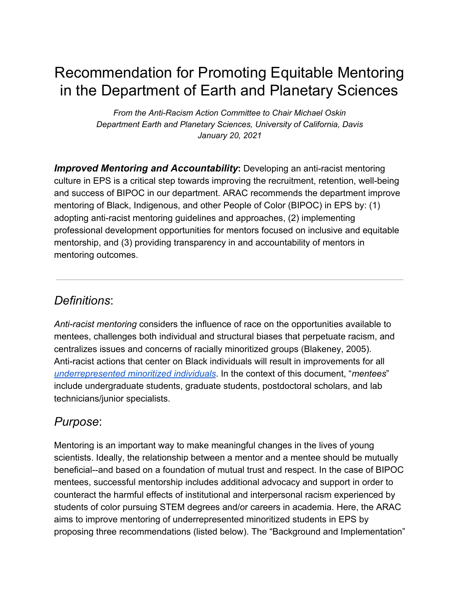# Recommendation for Promoting Equitable Mentoring in the Department of Earth and Planetary Sciences

*From the Anti-Racism Action Committee to Chair Michael Oskin Department Earth and Planetary Sciences, University of California, Davis January 20, 2021*

*Improved Mentoring and Accountability***:** Developing an anti-racist mentoring culture in EPS is a critical step towards improving the recruitment, retention, well-being and success of BIPOC in our department. ARAC recommends the department improve mentoring of Black, Indigenous, and other People of Color (BIPOC) in EPS by: (1) adopting anti-racist mentoring guidelines and approaches, (2) implementing professional development opportunities for mentors focused on inclusive and equitable mentorship, and (3) providing transparency in and accountability of mentors in mentoring outcomes.

### *Definitions*:

*Anti-racist mentoring* considers the influence of race on the opportunities available to mentees, challenges both individual and structural biases that perpetuate racism, and centralizes issues and concerns of racially minoritized groups (Blakeney, 2005). Anti-racist actions that center on Black individuals will result in improvements for all *[underrepresented minoritized individuals](https://diversity.ucsf.edu/URM-definition)*. In the context of this document, "*mentees*" include undergraduate students, graduate students, postdoctoral scholars, and lab technicians/junior specialists.

### *Purpose*:

Mentoring is an important way to make meaningful changes in the lives of young scientists. Ideally, the relationship between a mentor and a mentee should be mutually beneficial--and based on a foundation of mutual trust and respect. In the case of BIPOC mentees, successful mentorship includes additional advocacy and support in order to counteract the harmful effects of institutional and interpersonal racism experienced by students of color pursuing STEM degrees and/or careers in academia. Here, the ARAC aims to improve mentoring of underrepresented minoritized students in EPS by proposing three recommendations (listed below). The "Background and Implementation"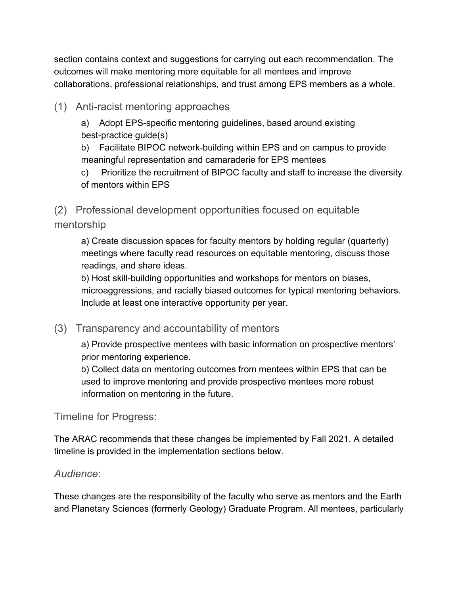section contains context and suggestions for carrying out each recommendation. The outcomes will make mentoring more equitable for all mentees and improve collaborations, professional relationships, and trust among EPS members as a whole.

(1) Anti-racist mentoring approaches

a) Adopt EPS-specific mentoring guidelines, based around existing best-practice guide(s)

b) Facilitate BIPOC network-building within EPS and on campus to provide meaningful representation and camaraderie for EPS mentees

c) Prioritize the recruitment of BIPOC faculty and staff to increase the diversity of mentors within EPS

(2) Professional development opportunities focused on equitable mentorship

a) Create discussion spaces for faculty mentors by holding regular (quarterly) meetings where faculty read resources on equitable mentoring, discuss those readings, and share ideas.

b) Host skill-building opportunities and workshops for mentors on biases, microaggressions, and racially biased outcomes for typical mentoring behaviors. Include at least one interactive opportunity per year.

(3) Transparency and accountability of mentors

a) Provide prospective mentees with basic information on prospective mentors' prior mentoring experience.

b) Collect data on mentoring outcomes from mentees within EPS that can be used to improve mentoring and provide prospective mentees more robust information on mentoring in the future.

Timeline for Progress:

The ARAC recommends that these changes be implemented by Fall 2021. A detailed timeline is provided in the implementation sections below.

### *Audience*:

These changes are the responsibility of the faculty who serve as mentors and the Earth and Planetary Sciences (formerly Geology) Graduate Program. All mentees, particularly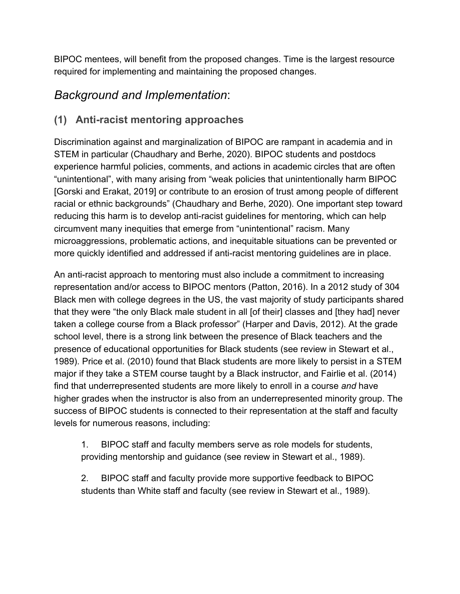BIPOC mentees, will benefit from the proposed changes. Time is the largest resource required for implementing and maintaining the proposed changes.

# *Background and Implementation*:

### **(1) Anti-racist mentoring approaches**

Discrimination against and marginalization of BIPOC are rampant in academia and in STEM in particular (Chaudhary and Berhe, 2020). BIPOC students and postdocs experience harmful policies, comments, and actions in academic circles that are often "unintentional", with many arising from "weak policies that unintentionally harm BIPOC [Gorski and Erakat, 2019] or contribute to an erosion of trust among people of different racial or ethnic backgrounds" (Chaudhary and Berhe, 2020). One important step toward reducing this harm is to develop anti-racist guidelines for mentoring, which can help circumvent many inequities that emerge from "unintentional" racism. Many microaggressions, problematic actions, and inequitable situations can be prevented or more quickly identified and addressed if anti-racist mentoring guidelines are in place.

An anti-racist approach to mentoring must also include a commitment to increasing representation and/or access to BIPOC mentors (Patton, 2016). In a 2012 study of 304 Black men with college degrees in the US, the vast majority of study participants shared that they were "the only Black male student in all [of their] classes and [they had] never taken a college course from a Black professor" (Harper and Davis, 2012). At the grade school level, there is a strong link between the presence of Black teachers and the presence of educational opportunities for Black students (see review in Stewart et al., 1989). Price et al. (2010) found that Black students are more likely to persist in a STEM major if they take a STEM course taught by a Black instructor, and Fairlie et al. (2014) find that underrepresented students are more likely to enroll in a course *and* have higher grades when the instructor is also from an underrepresented minority group. The success of BIPOC students is connected to their representation at the staff and faculty levels for numerous reasons, including:

1. BIPOC staff and faculty members serve as role models for students, providing mentorship and guidance (see review in Stewart et al., 1989).

2. BIPOC staff and faculty provide more supportive feedback to BIPOC students than White staff and faculty (see review in Stewart et al., 1989).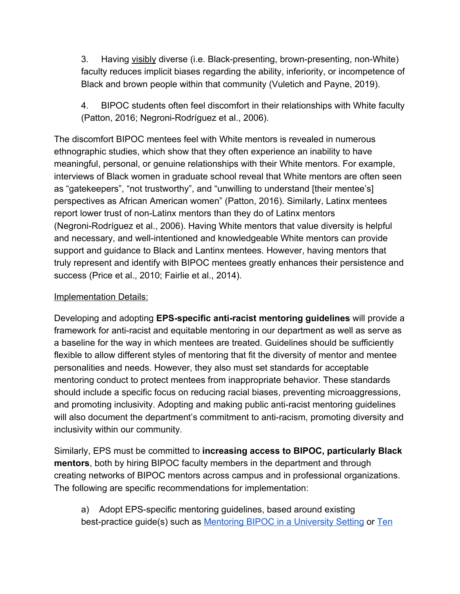3. Having visibly diverse (i.e. Black-presenting, brown-presenting, non-White) faculty reduces implicit biases regarding the ability, inferiority, or incompetence of Black and brown people within that community (Vuletich and Payne, 2019).

4. BIPOC students often feel discomfort in their relationships with White faculty (Patton, 2016; Negroni-Rodríguez et al., 2006).

The discomfort BIPOC mentees feel with White mentors is revealed in numerous ethnographic studies, which show that they often experience an inability to have meaningful, personal, or genuine relationships with their White mentors. For example, interviews of Black women in graduate school reveal that White mentors are often seen as "gatekeepers", "not trustworthy", and "unwilling to understand [their mentee's] perspectives as African American women" (Patton, 2016). Similarly, Latinx mentees report lower trust of non-Latinx mentors than they do of Latinx mentors (Negroni-Rodríguez et al., 2006). Having White mentors that value diversity is helpful and necessary, and well-intentioned and knowledgeable White mentors can provide support and guidance to Black and Lantinx mentees. However, having mentors that truly represent and identify with BIPOC mentees greatly enhances their persistence and success (Price et al., 2010; Fairlie et al., 2014).

#### Implementation Details:

Developing and adopting **EPS-specific anti-racist mentoring guidelines** will provide a framework for anti-racist and equitable mentoring in our department as well as serve as a baseline for the way in which mentees are treated. Guidelines should be sufficiently flexible to allow different styles of mentoring that fit the diversity of mentor and mentee personalities and needs. However, they also must set standards for acceptable mentoring conduct to protect mentees from inappropriate behavior. These standards should include a specific focus on reducing racial biases, preventing microaggressions, and promoting inclusivity. Adopting and making public anti-racist mentoring guidelines will also document the department's commitment to anti-racism, promoting diversity and inclusivity within our community.

Similarly, EPS must be committed to **increasing access to BIPOC, particularly Black mentors**, both by hiring BIPOC faculty members in the department and through creating networks of BIPOC mentors across campus and in professional organizations. The following are specific recommendations for implementation:

a) Adopt EPS-specific mentoring guidelines, based around existing best-practice guide(s) such as [Mentoring BIPOC in a University Setting](https://docs.google.com/document/d/1AMMjEBjdEoZDy_snfgavMPfRnr7RCApxcRL1Bzkelnc/edit?usp=sharing) or [Ten](https://ecoevorxiv.org/4a9p8/)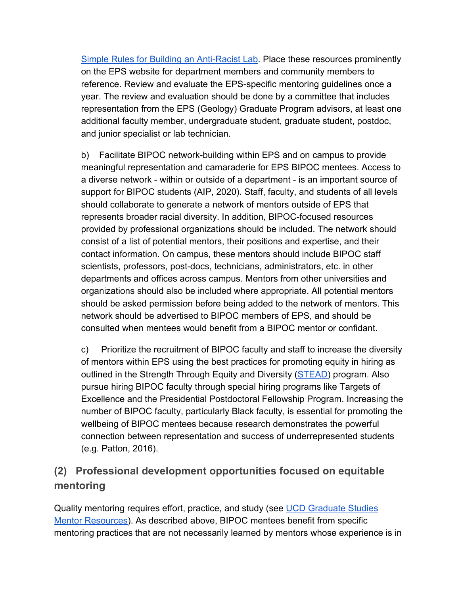[Simple Rules for Building an Anti-Racist Lab.](https://ecoevorxiv.org/4a9p8/) Place these resources prominently on the EPS website for department members and community members to reference. Review and evaluate the EPS-specific mentoring guidelines once a year. The review and evaluation should be done by a committee that includes representation from the EPS (Geology) Graduate Program advisors, at least one additional faculty member, undergraduate student, graduate student, postdoc, and junior specialist or lab technician.

b) Facilitate BIPOC network-building within EPS and on campus to provide meaningful representation and camaraderie for EPS BIPOC mentees. Access to a diverse network - within or outside of a department - is an important source of support for BIPOC students (AIP, 2020). Staff, faculty, and students of all levels should collaborate to generate a network of mentors outside of EPS that represents broader racial diversity. In addition, BIPOC-focused resources provided by professional organizations should be included. The network should consist of a list of potential mentors, their positions and expertise, and their contact information. On campus, these mentors should include BIPOC staff scientists, professors, post-docs, technicians, administrators, etc. in other departments and offices across campus. Mentors from other universities and organizations should also be included where appropriate. All potential mentors should be asked permission before being added to the network of mentors. This network should be advertised to BIPOC members of EPS, and should be consulted when mentees would benefit from a BIPOC mentor or confidant.

c) Prioritize the recruitment of BIPOC faculty and staff to increase the diversity of mentors within EPS using the best practices for promoting equity in hiring as outlined in the Strength Through Equity and Diversity ([STEAD](https://academicaffairs.ucdavis.edu/stead)) program. Also pursue hiring BIPOC faculty through special hiring programs like Targets of Excellence and the Presidential Postdoctoral Fellowship Program. Increasing the number of BIPOC faculty, particularly Black faculty, is essential for promoting the wellbeing of BIPOC mentees because research demonstrates the powerful connection between representation and success of underrepresented students (e.g. Patton, 2016).

### **(2) Professional development opportunities focused on equitable mentoring**

Quality mentoring requires effort, practice, and study (se[e](https://grad.ucdavis.edu/resources/mentoring/mentor-resources) [UCD Graduate Studies](https://grad.ucdavis.edu/resources/mentoring/mentor-resources) [Mentor Resources](https://grad.ucdavis.edu/resources/mentoring/mentor-resources)). As described above, BIPOC mentees benefit from specific mentoring practices that are not necessarily learned by mentors whose experience is in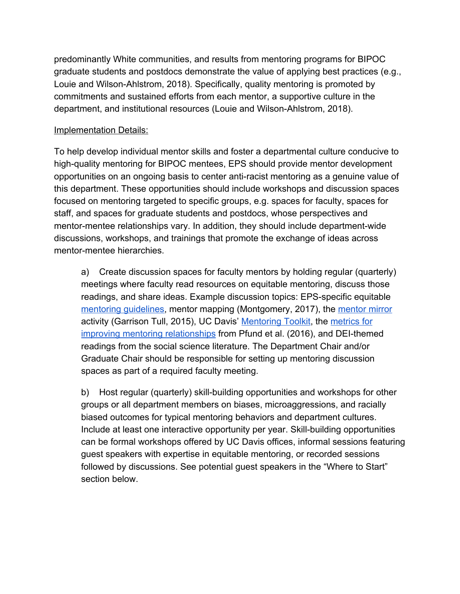predominantly White communities, and results from mentoring programs for BIPOC graduate students and postdocs demonstrate the value of applying best practices (e.g., Louie and Wilson-Ahlstrom, 2018). Specifically, quality mentoring is promoted by commitments and sustained efforts from each mentor, a supportive culture in the department, and institutional resources (Louie and Wilson-Ahlstrom, 2018).

#### **Implementation Details:**

To help develop individual mentor skills and foster a departmental culture conducive to high-quality mentoring for BIPOC mentees, EPS should provide mentor development opportunities on an ongoing basis to center anti-racist mentoring as a genuine value of this department. These opportunities should include workshops and discussion spaces focused on mentoring targeted to specific groups, e.g. spaces for faculty, spaces for staff, and spaces for graduate students and postdocs, whose perspectives and mentor-mentee relationships vary. In addition, they should include department-wide discussions, workshops, and trainings that promote the exchange of ideas across mentor-mentee hierarchies.

a) Create discussion spaces for faculty mentors by holding regular (quarterly) meetings where faculty read resources on equitable mentoring, discuss those readings, and share ideas. Example discussion topics: EPS-specific equitable mentoring quidelines, mentor mapping (Montgomery, 2017), the [mentor mirror](https://www.researchgate.net/profile/Renetta_Tull/publication/283517238_The_Mentor_Mirror/links/563d350908ae34e98c4ad938/The-Mentor-Mirror.pdf) activity (Garrison Tull, 2015), UC Davis' [Mentoring Toolkit](https://hr.ucdavis.edu/departments/learning-dev/toolkits/mentoring), th[e](https://link.springer.com/article/10.1007/s10461-016-1384-z/tables/1) [metrics for](https://link.springer.com/article/10.1007/s10461-016-1384-z/tables/1) [improving mentoring relationships](https://link.springer.com/article/10.1007/s10461-016-1384-z/tables/1) from Pfund et al. (2016), and DEI-themed readings from the social science literature. The Department Chair and/or Graduate Chair should be responsible for setting up mentoring discussion spaces as part of a required faculty meeting.

b) Host regular (quarterly) skill-building opportunities and workshops for other groups or all department members on biases, microaggressions, and racially biased outcomes for typical mentoring behaviors and department cultures. Include at least one interactive opportunity per year. Skill-building opportunities can be formal workshops offered by UC Davis offices, informal sessions featuring guest speakers with expertise in equitable mentoring, or recorded sessions followed by discussions. See potential guest speakers in the "Where to Start" section below.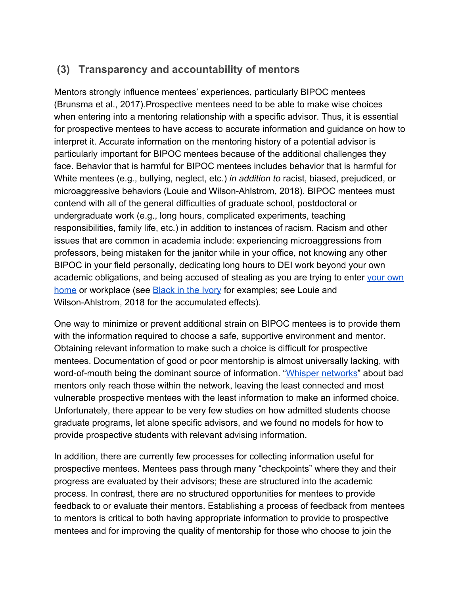### **(3) Transparency and accountability of mentors**

Mentors strongly influence mentees' experiences, particularly BIPOC mentees (Brunsma et al., 2017).Prospective mentees need to be able to make wise choices when entering into a mentoring relationship with a specific advisor. Thus, it is essential for prospective mentees to have access to accurate information and guidance on how to interpret it. Accurate information on the mentoring history of a potential advisor is particularly important for BIPOC mentees because of the additional challenges they face. Behavior that is harmful for BIPOC mentees includes behavior that is harmful for White mentees (e.g., bullying, neglect, etc.) *in addition to* racist, biased, prejudiced, or microaggressive behaviors (Louie and Wilson-Ahlstrom, 2018). BIPOC mentees must contend with all of the general difficulties of graduate school, postdoctoral or undergraduate work (e.g., long hours, complicated experiments, teaching responsibilities, family life, etc.) in addition to instances of racism. Racism and other issues that are common in academia include: experiencing microaggressions from professors, being mistaken for the janitor while in your office, not knowing any other BIPOC in your field personally, dedicating long hours to DEI work beyond your own academic obligations, and being accused of stealing as you are trying to ente[r](https://abc7news.com/danielle-fuentes-morgan-santa-clara-university-racial-profiling-news-carlos/6386980/) [your own](https://abc7news.com/danielle-fuentes-morgan-santa-clara-university-racial-profiling-news-carlos/6386980/) [home](https://abc7news.com/danielle-fuentes-morgan-santa-clara-university-racial-profiling-news-carlos/6386980/) or workplace (se[e](https://massivesci.com/notes/black-in-the-ivory-tower-academia-science-racism/) [Black in the Ivory](https://massivesci.com/notes/black-in-the-ivory-tower-academia-science-racism/) for examples; see Louie and Wilson-Ahlstrom, 2018 for the accumulated effects).

One way to minimize or prevent additional strain on BIPOC mentees is to provide them with the information required to choose a safe, supportive environment and mentor. Obtaining relevant information to make such a choice is difficult for prospective mentees. Documentation of good or poor mentorship is almost universally lacking, with word-of-mouth being the dominant source of information. "[Whisper networks](https://eos.org/opinions/senior-scientists-must-engage-in-the-fight-against-harassment)" about bad mentors only reach those within the network, leaving the least connected and most vulnerable prospective mentees with the least information to make an informed choice. Unfortunately, there appear to be very few studies on how admitted students choose graduate programs, let alone specific advisors, and we found no models for how to provide prospective students with relevant advising information.

In addition, there are currently few processes for collecting information useful for prospective mentees. Mentees pass through many "checkpoints" where they and their progress are evaluated by their advisors; these are structured into the academic process. In contrast, there are no structured opportunities for mentees to provide feedback to or evaluate their mentors. Establishing a process of feedback from mentees to mentors is critical to both having appropriate information to provide to prospective mentees and for improving the quality of mentorship for those who choose to join the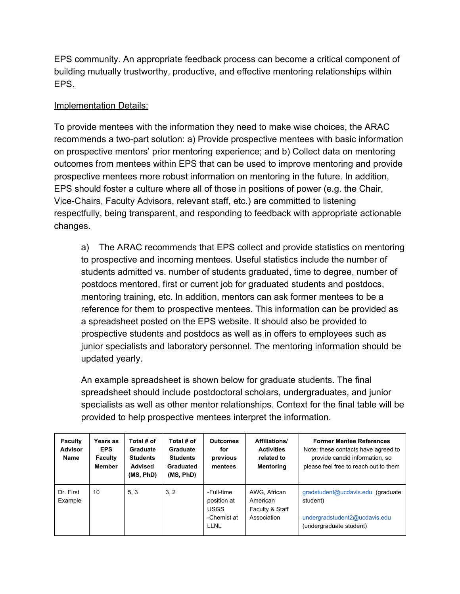EPS community. An appropriate feedback process can become a critical component of building mutually trustworthy, productive, and effective mentoring relationships within EPS.

#### Implementation Details:

To provide mentees with the information they need to make wise choices, the ARAC recommends a two-part solution: a) Provide prospective mentees with basic information on prospective mentors' prior mentoring experience; and b) Collect data on mentoring outcomes from mentees within EPS that can be used to improve mentoring and provide prospective mentees more robust information on mentoring in the future. In addition, EPS should foster a culture where all of those in positions of power (e.g. the Chair, Vice-Chairs, Faculty Advisors, relevant staff, etc.) are committed to listening respectfully, being transparent, and responding to feedback with appropriate actionable changes.

a) The ARAC recommends that EPS collect and provide statistics on mentoring to prospective and incoming mentees. Useful statistics include the number of students admitted vs. number of students graduated, time to degree, number of postdocs mentored, first or current job for graduated students and postdocs, mentoring training, etc. In addition, mentors can ask former mentees to be a reference for them to prospective mentees. This information can be provided as a spreadsheet posted on the EPS website. It should also be provided to prospective students and postdocs as well as in offers to employees such as junior specialists and laboratory personnel. The mentoring information should be updated yearly.

An example spreadsheet is shown below for graduate students. The final spreadsheet should include postdoctoral scholars, undergraduates, and junior specialists as well as other mentor relationships. Context for the final table will be provided to help prospective mentees interpret the information.

| <b>Faculty</b><br><b>Advisor</b><br><b>Name</b> | Years as<br><b>EPS</b><br><b>Faculty</b><br><b>Member</b> | Total # of<br>Graduate<br><b>Students</b><br><b>Advised</b><br>(MS, PhD) | Total # of<br>Graduate<br><b>Students</b><br>Graduated<br>(MS, PhD) | <b>Outcomes</b><br>for<br>previous<br>mentees                   | <b>Affiliations/</b><br><b>Activities</b><br>related to<br><b>Mentoring</b> | <b>Former Mentee References</b><br>Note: these contacts have agreed to<br>provide candid information, so<br>please feel free to reach out to them |
|-------------------------------------------------|-----------------------------------------------------------|--------------------------------------------------------------------------|---------------------------------------------------------------------|-----------------------------------------------------------------|-----------------------------------------------------------------------------|---------------------------------------------------------------------------------------------------------------------------------------------------|
| Dr. First<br>Example                            | 10                                                        | 5.3                                                                      | 3.2                                                                 | -Full-time<br>position at<br><b>USGS</b><br>-Chemist at<br>LLNL | AWG, African<br>American<br>Faculty & Staff<br>Association                  | gradstudent@ucdavis.edu (graduate<br>student)<br>undergradstudent2@ucdavis.edu<br>(undergraduate student)                                         |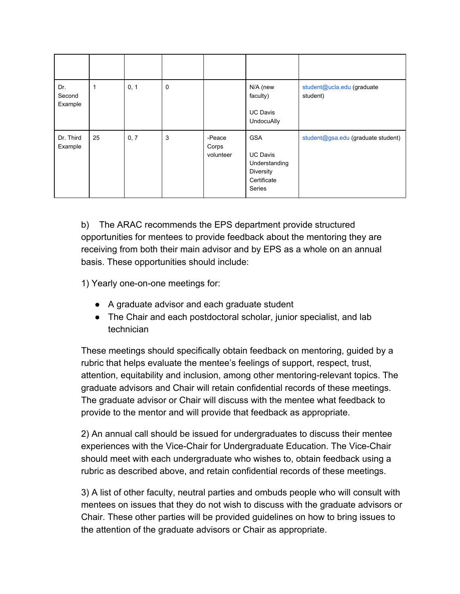| Dr.<br>Second<br>Example | $\mathbf 1$ | 0, 1 | 0 |                              | N/A (new<br>faculty)<br><b>UC Davis</b><br><b>UndocuAlly</b>                         | student@ucla.edu (graduate<br>student) |
|--------------------------|-------------|------|---|------------------------------|--------------------------------------------------------------------------------------|----------------------------------------|
| Dr. Third<br>Example     | 25          | 0, 7 | 3 | -Peace<br>Corps<br>volunteer | <b>GSA</b><br><b>UC Davis</b><br>Understanding<br>Diversity<br>Certificate<br>Series | student@gsa.edu (graduate student)     |

b) The ARAC recommends the EPS department provide structured opportunities for mentees to provide feedback about the mentoring they are receiving from both their main advisor and by EPS as a whole on an annual basis. These opportunities should include:

1) Yearly one-on-one meetings for:

- A graduate advisor and each graduate student
- The Chair and each postdoctoral scholar, junior specialist, and lab technician

These meetings should specifically obtain feedback on mentoring, guided by a rubric that helps evaluate the mentee's feelings of support, respect, trust, attention, equitability and inclusion, among other mentoring-relevant topics. The graduate advisors and Chair will retain confidential records of these meetings. The graduate advisor or Chair will discuss with the mentee what feedback to provide to the mentor and will provide that feedback as appropriate.

2) An annual call should be issued for undergraduates to discuss their mentee experiences with the Vice-Chair for Undergraduate Education. The Vice-Chair should meet with each undergraduate who wishes to, obtain feedback using a rubric as described above, and retain confidential records of these meetings.

3) A list of other faculty, neutral parties and ombuds people who will consult with mentees on issues that they do not wish to discuss with the graduate advisors or Chair. These other parties will be provided guidelines on how to bring issues to the attention of the graduate advisors or Chair as appropriate.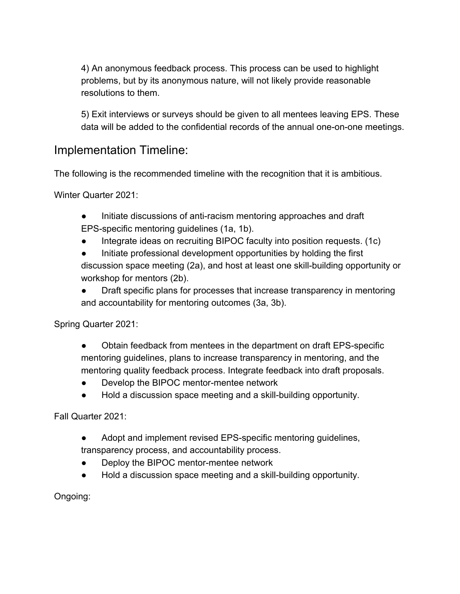4) An anonymous feedback process. This process can be used to highlight problems, but by its anonymous nature, will not likely provide reasonable resolutions to them.

5) Exit interviews or surveys should be given to all mentees leaving EPS. These data will be added to the confidential records of the annual one-on-one meetings.

### Implementation Timeline:

The following is the recommended timeline with the recognition that it is ambitious.

Winter Quarter 2021:

- Initiate discussions of anti-racism mentoring approaches and draft EPS-specific mentoring guidelines (1a, 1b).
- Integrate ideas on recruiting BIPOC faculty into position requests. (1c)
- Initiate professional development opportunities by holding the first discussion space meeting (2a), and host at least one skill-building opportunity or workshop for mentors (2b).

• Draft specific plans for processes that increase transparency in mentoring and accountability for mentoring outcomes (3a, 3b).

Spring Quarter 2021:

- Obtain feedback from mentees in the department on draft EPS-specific mentoring guidelines, plans to increase transparency in mentoring, and the mentoring quality feedback process. Integrate feedback into draft proposals.
- Develop the BIPOC mentor-mentee network
- Hold a discussion space meeting and a skill-building opportunity.

Fall Quarter 2021:

- Adopt and implement revised EPS-specific mentoring guidelines, transparency process, and accountability process.
- Deploy the BIPOC mentor-mentee network
- Hold a discussion space meeting and a skill-building opportunity.

Ongoing: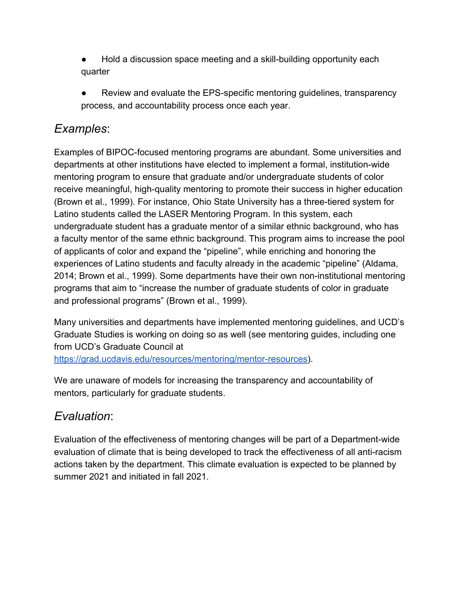- Hold a discussion space meeting and a skill-building opportunity each quarter
- Review and evaluate the EPS-specific mentoring guidelines, transparency process, and accountability process once each year.

### *Examples*:

Examples of BIPOC-focused mentoring programs are abundant. Some universities and departments at other institutions have elected to implement a formal, institution-wide mentoring program to ensure that graduate and/or undergraduate students of color receive meaningful, high-quality mentoring to promote their success in higher education (Brown et al., 1999). For instance, Ohio State University has a three-tiered system for Latino students called the LASER Mentoring Program. In this system, each undergraduate student has a graduate mentor of a similar ethnic background, who has a faculty mentor of the same ethnic background. This program aims to increase the pool of applicants of color and expand the "pipeline", while enriching and honoring the experiences of Latino students and faculty already in the academic "pipeline" (Aldama, 2014; Brown et al., 1999). Some departments have their own non-institutional mentoring programs that aim to "increase the number of graduate students of color in graduate and professional programs" (Brown et al., 1999).

Many universities and departments have implemented mentoring guidelines, and UCD's Graduate Studies is working on doing so as well (see mentoring guides, including one from UCD's Graduate Council at [https://grad.ucdavis.edu/resources/mentoring/mentor-resources\)](https://grad.ucdavis.edu/resources/mentoring/mentor-resources).

We are unaware of models for increasing the transparency and accountability of mentors, particularly for graduate students.

# *Evaluation*:

Evaluation of the effectiveness of mentoring changes will be part of a Department-wide evaluation of climate that is being developed to track the effectiveness of all anti-racism actions taken by the department. This climate evaluation is expected to be planned by summer 2021 and initiated in fall 2021.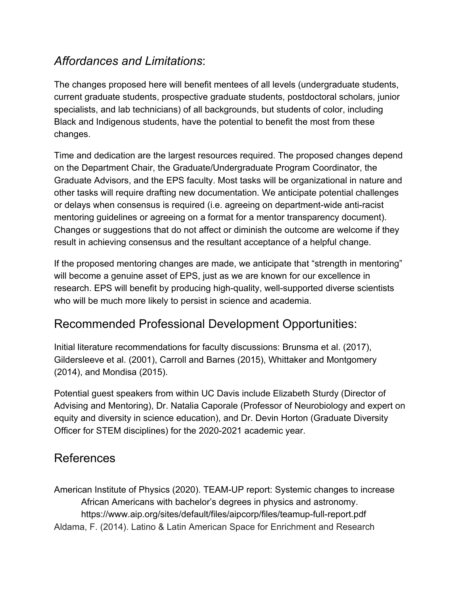### *Affordances and Limitations*:

The changes proposed here will benefit mentees of all levels (undergraduate students, current graduate students, prospective graduate students, postdoctoral scholars, junior specialists, and lab technicians) of all backgrounds, but students of color, including Black and Indigenous students, have the potential to benefit the most from these changes.

Time and dedication are the largest resources required. The proposed changes depend on the Department Chair, the Graduate/Undergraduate Program Coordinator, the Graduate Advisors, and the EPS faculty. Most tasks will be organizational in nature and other tasks will require drafting new documentation. We anticipate potential challenges or delays when consensus is required (i.e. agreeing on department-wide anti-racist mentoring guidelines or agreeing on a format for a mentor transparency document). Changes or suggestions that do not affect or diminish the outcome are welcome if they result in achieving consensus and the resultant acceptance of a helpful change.

If the proposed mentoring changes are made, we anticipate that "strength in mentoring" will become a genuine asset of EPS, just as we are known for our excellence in research. EPS will benefit by producing high-quality, well-supported diverse scientists who will be much more likely to persist in science and academia.

# Recommended Professional Development Opportunities:

Initial literature recommendations for faculty discussions: Brunsma et al. (2017), Gildersleeve et al. (2001), Carroll and Barnes (2015), Whittaker and Montgomery (2014), and Mondisa (2015).

Potential guest speakers from within UC Davis include Elizabeth Sturdy (Director of Advising and Mentoring), Dr. Natalia Caporale (Professor of Neurobiology and expert on equity and diversity in science education), and Dr. Devin Horton (Graduate Diversity Officer for STEM disciplines) for the 2020-2021 academic year.

### References

American Institute of Physics (2020). TEAM-UP report: Systemic changes to increase African Americans with bachelor's degrees in physics and astronomy. https://www.aip.org/sites/default/files/aipcorp/files/teamup-full-report.pdf Aldama, F. (2014). Latino & Latin American Space for Enrichment and Research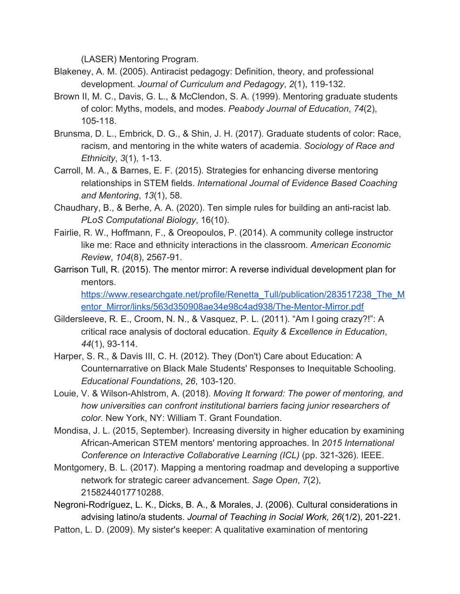(LASER) Mentoring Program.

- Blakeney, A. M. (2005). Antiracist pedagogy: Definition, theory, and professional development. *Journal of Curriculum and Pedagogy*, *2*(1), 119-132.
- Brown II, M. C., Davis, G. L., & McClendon, S. A. (1999). Mentoring graduate students of color: Myths, models, and modes. *Peabody Journal of Education*, *74*(2), 105-118.
- Brunsma, D. L., Embrick, D. G., & Shin, J. H. (2017). Graduate students of color: Race, racism, and mentoring in the white waters of academia. *Sociology of Race and Ethnicity*, *3*(1), 1-13.
- Carroll, M. A., & Barnes, E. F. (2015). Strategies for enhancing diverse mentoring relationships in STEM fields. *International Journal of Evidence Based Coaching and Mentoring*, *13*(1), 58.
- Chaudhary, B., & Berhe, A. A. (2020). Ten simple rules for building an anti-racist lab. *PLoS Computational Biology*, 16(10).
- Fairlie, R. W., Hoffmann, F., & Oreopoulos, P. (2014). A community college instructor like me: Race and ethnicity interactions in the classroom. *American Economic Review*, *104*(8), 2567-91.
- Garrison Tull, R. (2015). The mentor mirror: A reverse individual development plan for mentors.

[https://www.researchgate.net/profile/Renetta\\_Tull/publication/283517238\\_The\\_M](https://www.researchgate.net/profile/Renetta_Tull/publication/283517238_The_Mentor_Mirror/links/563d350908ae34e98c4ad938/The-Mentor-Mirror.pdf) [entor\\_Mirror/links/563d350908ae34e98c4ad938/The-Mentor-Mirror.pdf](https://www.researchgate.net/profile/Renetta_Tull/publication/283517238_The_Mentor_Mirror/links/563d350908ae34e98c4ad938/The-Mentor-Mirror.pdf)

- Gildersleeve, R. E., Croom, N. N., & Vasquez, P. L. (2011). "Am I going crazy?!": A critical race analysis of doctoral education. *Equity & Excellence in Education*, *44*(1), 93-114.
- Harper, S. R., & Davis III, C. H. (2012). They (Don't) Care about Education: A Counternarrative on Black Male Students' Responses to Inequitable Schooling. *Educational Foundations*, *26*, 103-120.
- Louie, V. & Wilson-Ahlstrom, A. (2018). *Moving It forward: The power of mentoring, and how universities can confront institutional barriers facing junior researchers of color.* New York, NY: William T. Grant Foundation.
- Mondisa, J. L. (2015, September). Increasing diversity in higher education by examining African-American STEM mentors' mentoring approaches. In *2015 International Conference on Interactive Collaborative Learning (ICL)* (pp. 321-326). IEEE.
- Montgomery, B. L. (2017). Mapping a mentoring roadmap and developing a supportive network for strategic career advancement. *Sage Open*, *7*(2), 2158244017710288.
- Negroni-Rodríguez, L. K., Dicks, B. A., & Morales, J. (2006). Cultural considerations in advising latino/a students. *Journal of Teaching in Social Work, 26*(1/2), 201-221.
- Patton, L. D. (2009). My sister's keeper: A qualitative examination of mentoring